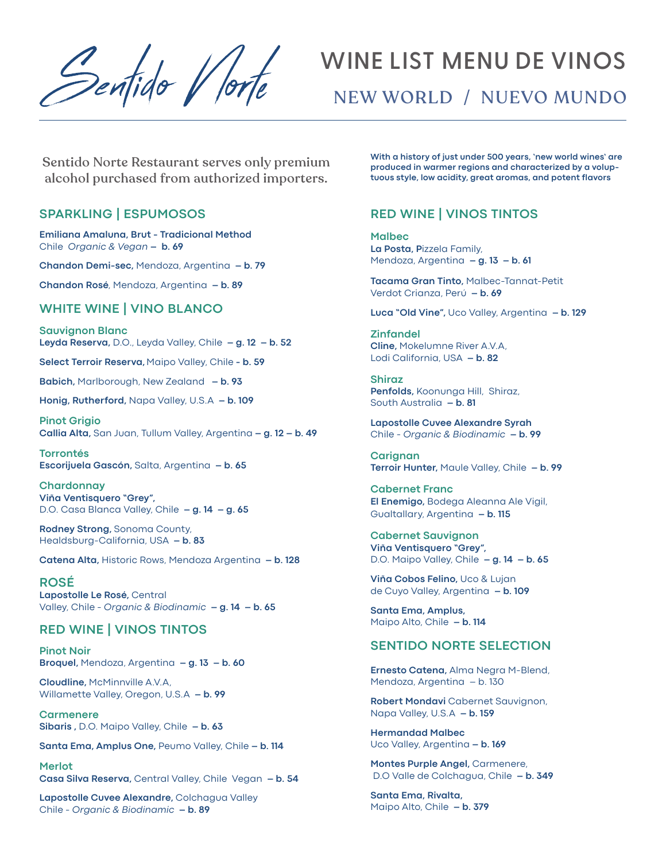Pentido V lort

# **WINE LIST MENU DE VINOS**

NEW WORLD / NUEVO MUNDO

Sentido Norte Restaurant serves only premium alcohol purchased from authorized importers.

### **SPARKLING | ESPUMOSOS**

**Emiliana Amaluna, Brut - Tradicional Method** Chile *Organic & Vegan* **– b. 69**

**Chandon Demi-sec,** Mendoza, Argentina **– b. 79**

**Chandon Rosé**, Mendoza, Argentina **– b. 89**

## **WHITE WINE | VINO BLANCO**

**Sauvignon Blanc Leyda Reserva,** D.O., Leyda Valley, Chile **– g. 12 – b. 52**

**Select Terroir Reserva,** Maipo Valley, Chile **- b. 59**

**Babich,** Marlborough, New Zealand **– b. 93**

**Honig, Rutherford,** Napa Valley, U.S.A **– b. 109**

**Pinot Grigio Callia Alta,** San Juan, Tullum Valley, Argentina **– g. 12 – b. 49**

**Torrontés Escorijuela Gascón,** Salta, Argentina **– b. 65**

**Chardonnay Viña Ventisquero "Grey",**  D.O. Casa Blanca Valley, Chile **– g. 14 – g. 65**

**Rodney Strong,** Sonoma County, Healdsburg-California, USA **– b. 83**

**Catena Alta,** Historic Rows, Mendoza Argentina **– b. 128**

**ROSÉ Lapostolle Le Rosé,** Central Valley, Chile - *Organic & Biodinamic* **– g. 14 – b. 65**

#### **RED WINE | VINOS TINTOS**

**Pinot Noir Broquel,** Mendoza, Argentina **– g. 13 – b. 60**

**Cloudline,** McMinnville A.V.A, Willamette Valley, Oregon, U.S.A **– b. 99**

**Carmenere Sibaris ,** D.O. Maipo Valley, Chile **– b. 63**

**Santa Ema, Amplus One,** Peumo Valley, Chile **– b. 114**

**Merlot Casa Silva Reserva,** Central Valley, Chile Vegan **– b. 54**

**Lapostolle Cuvee Alexandre,** Colchagua Valley Chile - *Organic & Biodinamic* **– b. 89**

**With a history of just under 500 years, 'new world wines' are produced in warmer regions and characterized by a voluptuous style, low acidity, great aromas, and potent flavors**

## **RED WINE | VINOS TINTOS**

**Malbec La Posta, P**izzela Family, Mendoza, Argentina **– g. 13 – b. 61**

**Tacama Gran Tinto,** Malbec-Tannat-Petit Verdot Crianza, Perú **– b. 69**

**Luca "Old Vine",** Uco Valley, Argentina **– b. 129**

**Zinfandel Cline,** Mokelumne River A.V.A, Lodi California, USA **– b. 82**

**Shiraz Penfolds,** Koonunga Hill, Shiraz, South Australia **– b. 81**

**Lapostolle Cuvee Alexandre Syrah** Chile - *Organic & Biodinamic* **– b. 99**

**Carignan Terroir Hunter,** Maule Valley, Chile **– b. 99**

**Cabernet Franc El Enemigo,** Bodega Aleanna Ale Vigil, Gualtallary, Argentina **– b. 115**

**Cabernet Sauvignon Viña Ventisquero "Grey",**  D.O. Maipo Valley, Chile **– g. 14 – b. 65**

**Viña Cobos Felino,** Uco & Lujan de Cuyo Valley, Argentina **– b. 109**

**Santa Ema, Amplus,**  Maipo Alto, Chile **– b. 114**

## **SENTIDO NORTE SELECTION**

**Ernesto Catena,** Alma Negra M-Blend, Mendoza, Argentina – b. 130

**Robert Mondavi** Cabernet Sauvignon, Napa Valley, U.S.A **– b. 159**

**Hermandad Malbec** Uco Valley, Argentina **– b. 169**

**Montes Purple Angel,** Carmenere, D.O Valle de Colchagua, Chile **– b. 349**

**Santa Ema, Rivalta,**  Maipo Alto, Chile **– b. 379**